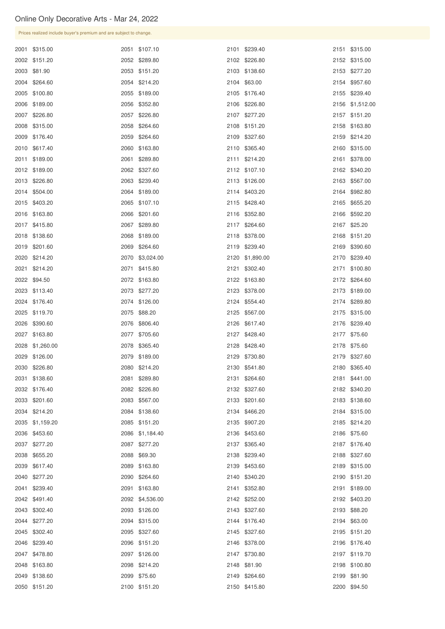|                                |                                  | Prices realized include buyer's premium and are subject to change. |  |                              |  |  |  |  |  |  |  |
|--------------------------------|----------------------------------|--------------------------------------------------------------------|--|------------------------------|--|--|--|--|--|--|--|
| 2001 \$315.00                  | 2051 \$107.10                    | 2101 \$239.40                                                      |  | 2151 \$315.00                |  |  |  |  |  |  |  |
| 2002 \$151.20                  | 2052 \$289.80                    | 2102 \$226.80                                                      |  | 2152 \$315.00                |  |  |  |  |  |  |  |
| 2003 \$81.90                   | 2053 \$151.20                    | 2103 \$138.60                                                      |  | 2153 \$277.20                |  |  |  |  |  |  |  |
| 2004 \$264.60                  | 2054 \$214.20                    | 2104 \$63.00                                                       |  | 2154 \$957.60                |  |  |  |  |  |  |  |
| 2005 \$100.80                  | 2055 \$189.00                    | 2105 \$176.40                                                      |  | 2155 \$239.40                |  |  |  |  |  |  |  |
| 2006 \$189.00                  | 2056 \$352.80                    | 2106 \$226.80                                                      |  | 2156 \$1,512.00              |  |  |  |  |  |  |  |
| 2007 \$226.80                  | 2057 \$226.80                    | 2107 \$277.20                                                      |  | 2157 \$151.20                |  |  |  |  |  |  |  |
| 2008 \$315.00                  | 2058 \$264.60                    | 2108 \$151.20                                                      |  | 2158 \$163.80                |  |  |  |  |  |  |  |
| 2009 \$176.40                  | 2059 \$264.60                    | 2109 \$327.60                                                      |  | 2159 \$214.20                |  |  |  |  |  |  |  |
| 2010 \$617.40                  | 2060 \$163.80                    | 2110 \$365.40                                                      |  | 2160 \$315.00                |  |  |  |  |  |  |  |
| 2011 \$189.00                  | 2061 \$289.80                    | 2111 \$214.20                                                      |  | 2161 \$378.00                |  |  |  |  |  |  |  |
| 2012 \$189.00                  | 2062 \$327.60                    | 2112 \$107.10                                                      |  | 2162 \$340.20                |  |  |  |  |  |  |  |
| 2013 \$226.80                  | 2063 \$239.40                    | 2113 \$126.00                                                      |  | 2163 \$567.00                |  |  |  |  |  |  |  |
| 2014 \$504.00                  | 2064 \$189.00                    | 2114 \$403.20                                                      |  | 2164 \$982.80                |  |  |  |  |  |  |  |
| 2015 \$403.20                  | 2065 \$107.10                    | 2115 \$428.40                                                      |  | 2165 \$655.20                |  |  |  |  |  |  |  |
| 2016 \$163.80                  | 2066 \$201.60                    | 2116 \$352.80                                                      |  | 2166 \$592.20                |  |  |  |  |  |  |  |
| 2017 \$415.80                  | 2067 \$289.80                    | 2117 \$264.60                                                      |  | 2167 \$25.20                 |  |  |  |  |  |  |  |
| 2018 \$138.60                  | 2068 \$189.00                    | 2118 \$378.00                                                      |  | 2168 \$151.20                |  |  |  |  |  |  |  |
| 2019 \$201.60                  | 2069 \$264.60                    | 2119 \$239.40                                                      |  | 2169 \$390.60                |  |  |  |  |  |  |  |
| 2020 \$214.20                  | 2070 \$3,024.00                  | 2120 \$1,890.00                                                    |  | 2170 \$239.40                |  |  |  |  |  |  |  |
| 2021 \$214.20                  | 2071 \$415.80                    | 2121 \$302.40                                                      |  | 2171 \$100.80                |  |  |  |  |  |  |  |
| 2022 \$94.50                   | 2072 \$163.80                    | 2122 \$163.80                                                      |  | 2172 \$264.60                |  |  |  |  |  |  |  |
| 2023 \$113.40                  | 2073 \$277.20                    | 2123 \$378.00                                                      |  | 2173 \$189.00                |  |  |  |  |  |  |  |
| 2024 \$176.40                  | 2074 \$126.00                    | 2124 \$554.40                                                      |  | 2174 \$289.80                |  |  |  |  |  |  |  |
| 2025 \$119.70                  | 2075 \$88.20                     | 2125 \$567.00                                                      |  | 2175 \$315.00                |  |  |  |  |  |  |  |
| 2026 \$390.60                  | 2076 \$806.40                    | 2126 \$617.40                                                      |  | 2176 \$239.40                |  |  |  |  |  |  |  |
| 2027 \$163.80                  | 2077 \$705.60                    | 2127 \$428.40                                                      |  | 2177 \$75.60                 |  |  |  |  |  |  |  |
| 2028 \$1,260.00                | 2078 \$365.40                    | 2128 \$428.40                                                      |  | 2178 \$75.60                 |  |  |  |  |  |  |  |
| 2029 \$126.00                  | 2079 \$189.00                    | 2129 \$730.80                                                      |  | 2179 \$327.60                |  |  |  |  |  |  |  |
| 2030 \$226.80                  | 2080 \$214.20                    | 2130 \$541.80                                                      |  | 2180 \$365.40                |  |  |  |  |  |  |  |
| 2031 \$138.60                  | 2081 \$289.80                    | 2131 \$264.60                                                      |  | 2181 \$441.00                |  |  |  |  |  |  |  |
| 2032 \$176.40                  | 2082 \$226.80                    | 2132 \$327.60                                                      |  | 2182 \$340.20                |  |  |  |  |  |  |  |
| 2033 \$201.60                  | 2083 \$567.00                    | 2133 \$201.60                                                      |  | 2183 \$138.60                |  |  |  |  |  |  |  |
| 2034 \$214.20                  | 2084 \$138.60                    | 2134 \$466.20                                                      |  | 2184 \$315.00                |  |  |  |  |  |  |  |
| 2035 \$1,159.20                | 2085 \$151.20                    | 2135 \$907.20                                                      |  | 2185 \$214.20                |  |  |  |  |  |  |  |
| 2036 \$453.60                  | 2086 \$1,184.40                  | 2136 \$453.60                                                      |  | 2186 \$75.60                 |  |  |  |  |  |  |  |
| 2037 \$277.20                  | 2087 \$277.20                    | 2137 \$365.40                                                      |  | 2187 \$176.40                |  |  |  |  |  |  |  |
| 2038 \$655.20                  | 2088 \$69.30                     | 2138 \$239.40                                                      |  | 2188 \$327.60                |  |  |  |  |  |  |  |
| 2039 \$617.40                  | 2089 \$163.80                    | 2139 \$453.60                                                      |  | 2189 \$315.00                |  |  |  |  |  |  |  |
| 2040 \$277.20                  | 2090 \$264.60                    | 2140 \$340.20                                                      |  | 2190 \$151.20                |  |  |  |  |  |  |  |
| 2041 \$239.40                  | 2091 \$163.80<br>2092 \$4,536.00 | 2141 \$352.80<br>2142 \$252.00                                     |  | 2191 \$189.00                |  |  |  |  |  |  |  |
| 2042 \$491.40                  |                                  |                                                                    |  | 2192 \$403.20                |  |  |  |  |  |  |  |
| 2043 \$302.40<br>2044 \$277.20 | 2093 \$126.00<br>2094 \$315.00   | 2143 \$327.60<br>2144 \$176.40                                     |  | 2193 \$88.20<br>2194 \$63.00 |  |  |  |  |  |  |  |
| 2045 \$302.40                  | 2095 \$327.60                    | 2145 \$327.60                                                      |  | 2195 \$151.20                |  |  |  |  |  |  |  |
| 2046 \$239.40                  | 2096 \$151.20                    | 2146 \$378.00                                                      |  | 2196 \$176.40                |  |  |  |  |  |  |  |
| 2047 \$478.80                  | 2097 \$126.00                    | 2147 \$730.80                                                      |  | 2197 \$119.70                |  |  |  |  |  |  |  |
| 2048 \$163.80                  | 2098 \$214.20                    | 2148 \$81.90                                                       |  | 2198 \$100.80                |  |  |  |  |  |  |  |
| 2049 \$138.60                  | 2099 \$75.60                     | 2149 \$264.60                                                      |  | 2199 \$81.90                 |  |  |  |  |  |  |  |
| 2050 \$151.20                  | 2100 \$151.20                    | 2150 \$415.80                                                      |  | 2200 \$94.50                 |  |  |  |  |  |  |  |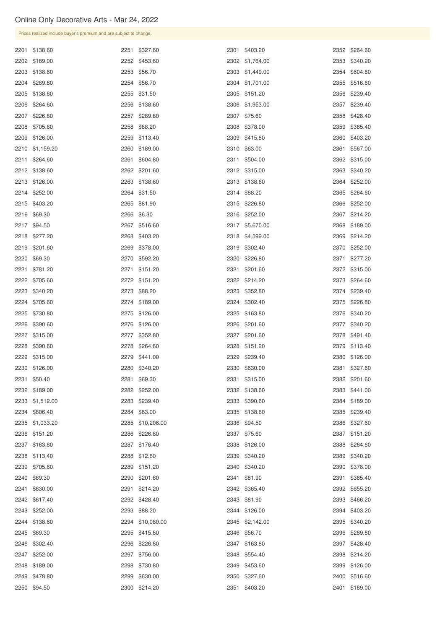| Prices realized include buyer's premium and are subject to change. |      |                  |                 |      |               |
|--------------------------------------------------------------------|------|------------------|-----------------|------|---------------|
| 2201 \$138.60                                                      |      | 2251 \$327.60    | 2301 \$403.20   |      | 2352 \$264.60 |
| 2202 \$189.00                                                      |      | 2252 \$453.60    | 2302 \$1,764.00 |      | 2353 \$340.20 |
| 2203 \$138.60                                                      |      | 2253 \$56.70     | 2303 \$1,449.00 |      | 2354 \$604.80 |
| 2204 \$289.80                                                      |      | 2254 \$56.70     | 2304 \$1,701.00 |      | 2355 \$516.60 |
| 2205 \$138.60                                                      |      | 2255 \$31.50     | 2305 \$151.20   |      | 2356 \$239.40 |
| 2206 \$264.60                                                      |      | 2256 \$138.60    | 2306 \$1,953.00 |      | 2357 \$239.40 |
| 2207 \$226.80                                                      |      | 2257 \$289.80    | 2307 \$75.60    |      | 2358 \$428.40 |
| 2208 \$705.60                                                      |      | 2258 \$88.20     | 2308 \$378.00   |      | 2359 \$365.40 |
| 2209 \$126.00                                                      |      | 2259 \$113.40    | 2309 \$415.80   |      | 2360 \$403.20 |
| 2210 \$1,159.20                                                    |      | 2260 \$189.00    | 2310 \$63.00    | 2361 | \$567.00      |
| 2211 \$264.60                                                      | 2261 | \$604.80         | 2311 \$504.00   |      | 2362 \$315.00 |
| 2212 \$138.60                                                      |      | 2262 \$201.60    | 2312 \$315.00   |      | 2363 \$340.20 |
| 2213 \$126.00                                                      |      | 2263 \$138.60    | 2313 \$138.60   |      | 2364 \$252.00 |
| 2214 \$252.00                                                      |      | 2264 \$31.50     | 2314 \$88.20    |      | 2365 \$264.60 |
| 2215 \$403.20                                                      |      | 2265 \$81.90     | 2315 \$226.80   |      | 2366 \$252.00 |
| 2216 \$69.30                                                       |      | 2266 \$6.30      | 2316 \$252.00   |      | 2367 \$214.20 |
| 2217 \$94.50                                                       | 2267 | \$516.60         | 2317 \$5,670.00 |      | 2368 \$189.00 |
| 2218 \$277.20                                                      |      | 2268 \$403.20    | 2318 \$4,599.00 |      | 2369 \$214.20 |
| 2219 \$201.60                                                      |      | 2269 \$378.00    | 2319 \$302.40   |      | 2370 \$252.00 |
| 2220 \$69.30                                                       |      | 2270 \$592.20    | 2320 \$226.80   |      | 2371 \$277.20 |
| 2221 \$781.20                                                      |      | 2271 \$151.20    | 2321 \$201.60   |      | 2372 \$315.00 |
| 2222 \$705.60                                                      |      | 2272 \$151.20    | 2322 \$214.20   |      | 2373 \$264.60 |
| 2223 \$340.20                                                      |      | 2273 \$88.20     | 2323 \$352.80   |      | 2374 \$239.40 |
| 2224 \$705.60                                                      |      | 2274 \$189.00    | 2324 \$302.40   |      | 2375 \$226.80 |
| 2225 \$730.80                                                      |      | 2275 \$126.00    | 2325 \$163.80   |      | 2376 \$340.20 |
| 2226 \$390.60                                                      |      | 2276 \$126.00    | 2326 \$201.60   |      | 2377 \$340.20 |
| 2227 \$315.00                                                      |      | 2277 \$352.80    | 2327 \$201.60   |      | 2378 \$491.40 |
| 2228 \$390.60                                                      |      | 2278 \$264.60    | 2328 \$151.20   |      | 2379 \$113.40 |
| 2229 \$315.00                                                      |      | 2279 \$441.00    | 2329 \$239.40   |      | 2380 \$126.00 |
| 2230 \$126.00                                                      |      | 2280 \$340.20    | 2330 \$630.00   |      | 2381 \$327.60 |
| 2231 \$50.40                                                       |      | 2281 \$69.30     | 2331 \$315.00   |      | 2382 \$201.60 |
| 2232 \$189.00                                                      |      | 2282 \$252.00    | 2332 \$138.60   |      | 2383 \$441.00 |
| 2233 \$1,512.00                                                    |      | 2283 \$239.40    | 2333 \$390.60   |      | 2384 \$189.00 |
| 2234 \$806.40                                                      |      | 2284 \$63.00     | 2335 \$138.60   |      | 2385 \$239.40 |
| 2235 \$1,033.20                                                    |      | 2285 \$10,206.00 | 2336 \$94.50    |      | 2386 \$327.60 |
| 2236 \$151.20                                                      |      | 2286 \$226.80    | 2337 \$75.60    |      | 2387 \$151.20 |
| 2237 \$163.80                                                      |      | 2287 \$176.40    | 2338 \$126.00   |      | 2388 \$264.60 |
| 2238 \$113.40                                                      |      | 2288 \$12.60     | 2339 \$340.20   |      | 2389 \$340.20 |
| 2239 \$705.60                                                      |      | 2289 \$151.20    | 2340 \$340.20   |      | 2390 \$378.00 |

| 2240 \$69.30  | 2290 \$201.60    | 2341 \$81.90    | 2391 \$365.40 |
|---------------|------------------|-----------------|---------------|
| 2241 \$630.00 | 2291 \$214.20    | 2342 \$365.40   | 2392 \$655.20 |
| 2242 \$617.40 | 2292 \$428.40    | 2343 \$81.90    | 2393 \$466.20 |
| 2243 \$252.00 | 2293 \$88.20     | 2344 \$126.00   | 2394 \$403.20 |
| 2244 \$138.60 | 2294 \$10,080.00 | 2345 \$2,142.00 | 2395 \$340.20 |
| 2245 \$69.30  | 2295 \$415.80    | 2346 \$56.70    | 2396 \$289.80 |
| 2246 \$302.40 | 2296 \$226.80    | 2347 \$163.80   | 2397 \$428.40 |
| 2247 \$252.00 | 2297 \$756.00    | 2348 \$554.40   | 2398 \$214.20 |
| 2248 \$189.00 | 2298 \$730.80    | 2349 \$453.60   | 2399 \$126.00 |
| 2249 \$478.80 | 2299 \$630.00    | 2350 \$327.60   | 2400 \$516.60 |
| 2250 \$94.50  | 2300 \$214.20    | 2351 \$403.20   | 2401 \$189.00 |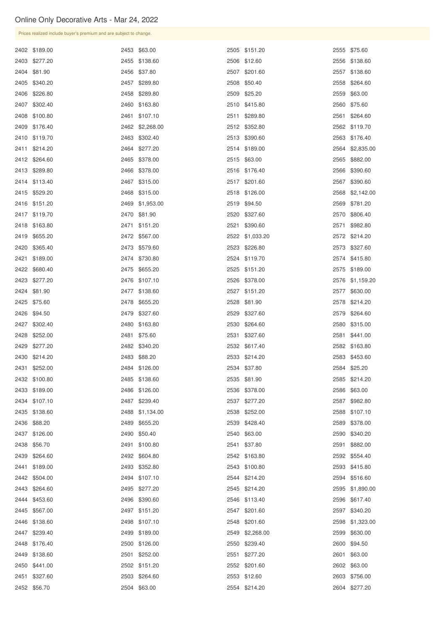| Prices realized include buyer's premium and are subject to change. |                 |                 |                 |
|--------------------------------------------------------------------|-----------------|-----------------|-----------------|
| 2402 \$189.00                                                      | 2453 \$63.00    | 2505 \$151.20   | 2555 \$75.60    |
| 2403 \$277.20                                                      | 2455 \$138.60   | 2506 \$12.60    | 2556 \$138.60   |
| 2404 \$81.90                                                       | 2456 \$37.80    | 2507 \$201.60   | 2557 \$138.60   |
| 2405 \$340.20                                                      | 2457 \$289.80   | 2508 \$50.40    | 2558 \$264.60   |
| 2406 \$226.80                                                      | 2458 \$289.80   | 2509 \$25.20    | 2559 \$63.00    |
| 2407 \$302.40                                                      | 2460 \$163.80   | 2510 \$415.80   | 2560 \$75.60    |
| 2408 \$100.80                                                      | 2461 \$107.10   | 2511 \$289.80   | 2561 \$264.60   |
| 2409 \$176.40                                                      | 2462 \$2,268.00 | 2512 \$352.80   | 2562 \$119.70   |
| 2410 \$119.70                                                      | 2463 \$302.40   | 2513 \$390.60   | 2563 \$176.40   |
| 2411 \$214.20                                                      | 2464 \$277.20   | 2514 \$189.00   | 2564 \$2,835.00 |
| 2412 \$264.60                                                      | 2465 \$378.00   | 2515 \$63.00    | 2565 \$882.00   |
| 2413 \$289.80                                                      | 2466 \$378.00   | 2516 \$176.40   | 2566 \$390.60   |
| 2414 \$113.40                                                      | 2467 \$315.00   | 2517 \$201.60   | 2567 \$390.60   |
| 2415 \$529.20                                                      | 2468 \$315.00   | 2518 \$126.00   | 2568 \$2,142.00 |
| 2416 \$151.20                                                      | 2469 \$1,953.00 | 2519 \$94.50    | 2569 \$781.20   |
| 2417 \$119.70                                                      | 2470 \$81.90    | 2520 \$327.60   | 2570 \$806.40   |
| 2418 \$163.80                                                      | 2471 \$151.20   | 2521 \$390.60   | 2571 \$982.80   |
| 2419 \$655.20                                                      | 2472 \$567.00   | 2522 \$1,033.20 | 2572 \$214.20   |
| 2420 \$365.40                                                      | 2473 \$579.60   | 2523 \$226.80   | 2573 \$327.60   |
| 2421 \$189.00                                                      | 2474 \$730.80   | 2524 \$119.70   | 2574 \$415.80   |
| 2422 \$680.40                                                      | 2475 \$655.20   | 2525 \$151.20   | 2575 \$189.00   |
| 2423 \$277.20                                                      | 2476 \$107.10   | 2526 \$378.00   | 2576 \$1,159.20 |
| 2424 \$81.90                                                       | 2477 \$138.60   | 2527 \$151.20   | 2577 \$630.00   |
| 2425 \$75.60                                                       | 2478 \$655.20   | 2528 \$81.90    | 2578 \$214.20   |
| 2426 \$94.50                                                       | 2479 \$327.60   | 2529 \$327.60   | 2579 \$264.60   |
| 2427 \$302.40                                                      | 2480 \$163.80   | 2530 \$264.60   | 2580 \$315.00   |
| 2428 \$252.00                                                      | 2481 \$75.60    | 2531 \$327.60   | 2581 \$441.00   |
| 2429 \$277.20                                                      | 2482 \$340.20   | 2532 \$617.40   | 2582 \$163.80   |
| 2430 \$214.20                                                      | 2483 \$88.20    | 2533 \$214.20   | 2583 \$453.60   |
| 2431 \$252.00                                                      | 2484 \$126.00   | 2534 \$37.80    | 2584 \$25.20    |
| 2432 \$100.80                                                      | 2485 \$138.60   | 2535 \$81.90    | 2585 \$214.20   |
| 2433 \$189.00                                                      | 2486 \$126.00   | 2536 \$378.00   | 2586 \$63.00    |
| 2434 \$107.10                                                      | 2487 \$239.40   | 2537 \$277.20   | 2587 \$982.80   |
| 2435 \$138.60                                                      | 2488 \$1,134.00 | 2538 \$252.00   | 2588 \$107.10   |
| 2436 \$88.20                                                       | 2489 \$655.20   | 2539 \$428.40   | 2589 \$378.00   |
| 2437 \$126.00                                                      | 2490 \$50.40    | 2540 \$63.00    | 2590 \$340.20   |
| 2438 \$56.70                                                       | 2491 \$100.80   | 2541 \$37.80    | 2591 \$882.00   |
| 2439 \$264.60                                                      | 2492 \$604.80   | 2542 \$163.80   | 2592 \$554.40   |
| 2441 \$189.00                                                      | 2493 \$352.80   | 2543 \$100.80   | 2593 \$415.80   |

| 2442 \$504.00 | 2494 \$107.10 | 2544 \$214.20   | 2594 \$516.60   |
|---------------|---------------|-----------------|-----------------|
| 2443 \$264.60 | 2495 \$277.20 | 2545 \$214.20   | 2595 \$1,890.00 |
| 2444 \$453.60 | 2496 \$390.60 | 2546 \$113.40   | 2596 \$617.40   |
| 2445 \$567.00 | 2497 \$151.20 | 2547 \$201.60   | 2597 \$340.20   |
| 2446 \$138.60 | 2498 \$107.10 | 2548 \$201.60   | 2598 \$1,323.00 |
| 2447 \$239.40 | 2499 \$189.00 | 2549 \$2,268.00 | 2599 \$630.00   |
| 2448 \$176.40 | 2500 \$126.00 | 2550 \$239.40   | 2600 \$94.50    |
| 2449 \$138.60 | 2501 \$252.00 | 2551 \$277.20   | 2601 \$63.00    |
| 2450 \$441.00 | 2502 \$151.20 | 2552 \$201.60   | 2602 \$63.00    |
| 2451 \$327.60 | 2503 \$264.60 | 2553 \$12.60    | 2603 \$756.00   |
| 2452 \$56.70  | 2504 \$63.00  | 2554 \$214.20   | 2604 \$277.20   |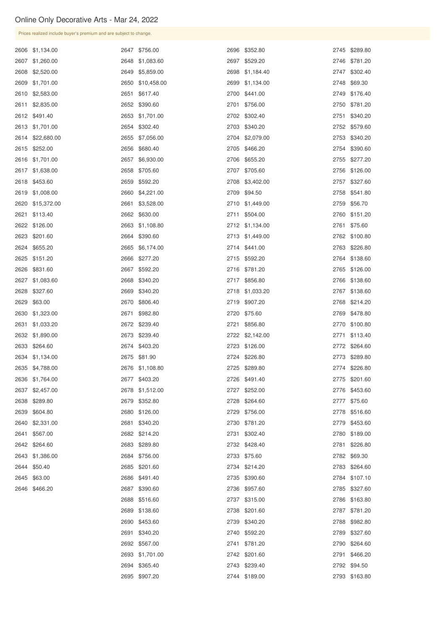\$63.00

\$466.20

|  | Prices realized include buyer's premium and are subject to change. |      |                  |  |                 |  |               |  |
|--|--------------------------------------------------------------------|------|------------------|--|-----------------|--|---------------|--|
|  | 2606 \$1,134.00                                                    |      | 2647 \$756.00    |  | 2696 \$352.80   |  | 2745 \$289.80 |  |
|  | 2607 \$1,260.00                                                    |      | 2648 \$1,083.60  |  | 2697 \$529.20   |  | 2746 \$781.20 |  |
|  | 2608 \$2,520.00                                                    | 2649 | \$5,859.00       |  | 2698 \$1,184.40 |  | 2747 \$302.40 |  |
|  | 2609 \$1,701.00                                                    |      | 2650 \$10,458.00 |  | 2699 \$1,134.00 |  | 2748 \$69.30  |  |
|  | 2610 \$2,583.00                                                    |      | 2651 \$617.40    |  | 2700 \$441.00   |  | 2749 \$176.40 |  |
|  | 2611 \$2,835.00                                                    |      | 2652 \$390.60    |  | 2701 \$756.00   |  | 2750 \$781.20 |  |
|  | 2612 \$491.40                                                      |      | 2653 \$1,701.00  |  | 2702 \$302.40   |  | 2751 \$340.20 |  |
|  | 2613 \$1,701.00                                                    |      | 2654 \$302.40    |  | 2703 \$340.20   |  | 2752 \$579.60 |  |
|  | 2614 \$22,680.00                                                   |      | 2655 \$7,056.00  |  | 2704 \$2,079.00 |  | 2753 \$340.20 |  |
|  | 2615 \$252.00                                                      |      | 2656 \$680.40    |  | 2705 \$466.20   |  | 2754 \$390.60 |  |
|  | 2616 \$1,701.00                                                    | 2657 | \$6,930.00       |  | 2706 \$655.20   |  | 2755 \$277.20 |  |
|  | 2617 \$1,638.00                                                    |      | 2658 \$705.60    |  | 2707 \$705.60   |  | 2756 \$126.00 |  |
|  | 2618 \$453.60                                                      |      | 2659 \$592.20    |  | 2708 \$3,402.00 |  | 2757 \$327.60 |  |
|  | 2619 \$1,008.00                                                    |      | 2660 \$4,221.00  |  | 2709 \$94.50    |  | 2758 \$541.80 |  |
|  | 2620 \$15,372.00                                                   | 2661 | \$3,528.00       |  | 2710 \$1,449.00 |  | 2759 \$56.70  |  |
|  | 2621 \$113.40                                                      |      | 2662 \$630.00    |  | 2711 \$504.00   |  | 2760 \$151.20 |  |
|  | 2622 \$126.00                                                      |      | 2663 \$1,108.80  |  | 2712 \$1,134.00 |  | 2761 \$75.60  |  |
|  | 2623 \$201.60                                                      |      | 2664 \$390.60    |  | 2713 \$1,449.00 |  | 2762 \$100.80 |  |
|  | 2624 \$655.20                                                      |      | 2665 \$6,174.00  |  | 2714 \$441.00   |  | 2763 \$226.80 |  |
|  | 2625 \$151.20                                                      |      | 2666 \$277.20    |  | 2715 \$592.20   |  | 2764 \$138.60 |  |
|  | 2626 \$831.60                                                      |      | 2667 \$592.20    |  | 2716 \$781.20   |  | 2765 \$126.00 |  |
|  | 2627 \$1,083.60                                                    |      | 2668 \$340.20    |  | 2717 \$856.80   |  | 2766 \$138.60 |  |
|  | 2628 \$327.60                                                      | 2669 | \$340.20         |  | 2718 \$1,033.20 |  | 2767 \$138.60 |  |
|  | 2629 \$63.00                                                       | 2670 | \$806.40         |  | 2719 \$907.20   |  | 2768 \$214.20 |  |
|  | 2630 \$1,323.00                                                    | 2671 | \$982.80         |  | 2720 \$75.60    |  | 2769 \$478.80 |  |
|  | 2631 \$1,033.20                                                    |      | 2672 \$239.40    |  | 2721 \$856.80   |  | 2770 \$100.80 |  |
|  | 2632 \$1,890.00                                                    | 2673 | \$239.40         |  | 2722 \$2,142.00 |  | 2771 \$113.40 |  |
|  | 2633 \$264.60                                                      |      | 2674 \$403.20    |  | 2723 \$126.00   |  | 2772 \$264.60 |  |
|  | 2634 \$1,134.00                                                    | 2675 | \$81.90          |  | 2724 \$226.80   |  | 2773 \$289.80 |  |
|  | 2635 \$4,788.00                                                    |      | 2676 \$1,108.80  |  | 2725 \$289.80   |  | 2774 \$226.80 |  |
|  | 2636 \$1,764.00                                                    | 2677 | \$403.20         |  | 2726 \$491.40   |  | 2775 \$201.60 |  |
|  | 2637 \$2,457.00                                                    |      | 2678 \$1,512.00  |  | 2727 \$252.00   |  | 2776 \$453.60 |  |
|  | 2638 \$289.80                                                      |      | 2679 \$352.80    |  | 2728 \$264.60   |  | 2777 \$75.60  |  |
|  | 2639 \$604.80                                                      |      | 2680 \$126.00    |  | 2729 \$756.00   |  | 2778 \$516.60 |  |
|  | 2640 \$2,331.00                                                    | 2681 | \$340.20         |  | 2730 \$781.20   |  | 2779 \$453.60 |  |
|  | 2641 \$567.00                                                      |      | 2682 \$214.20    |  | 2731 \$302.40   |  | 2780 \$189.00 |  |
|  | 2642 \$264.60                                                      | 2683 | \$289.80         |  | 2732 \$428.40   |  | 2781 \$226.80 |  |
|  | 2643 \$1,386.00                                                    |      | 2684 \$756.00    |  | 2733 \$75.60    |  | 2782 \$69.30  |  |
|  | 2644 \$50.40                                                       |      | 2685 \$201.60    |  | 2734 \$214.20   |  | 2783 \$264.60 |  |

| 2686 \$491.40   | 2735 \$390.60 |      | 2784 \$107.10 |
|-----------------|---------------|------|---------------|
| 2687 \$390.60   | 2736 \$957.60 |      | 2785 \$327.60 |
| 2688 \$516.60   | 2737 \$315.00 |      | 2786 \$163.80 |
| 2689 \$138.60   | 2738 \$201.60 |      | 2787 \$781.20 |
| 2690 \$453.60   | 2739 \$340.20 |      | 2788 \$982.80 |
| 2691 \$340.20   | 2740 \$592.20 |      | 2789 \$327.60 |
| 2692 \$567.00   | 2741 \$781.20 |      | 2790 \$264.60 |
| 2693 \$1,701.00 | 2742 \$201.60 | 2791 | \$466.20      |
| 2694 \$365.40   | 2743 \$239.40 |      | 2792 \$94.50  |
| 2695 \$907.20   | 2744 \$189.00 |      | 2793 \$163.80 |